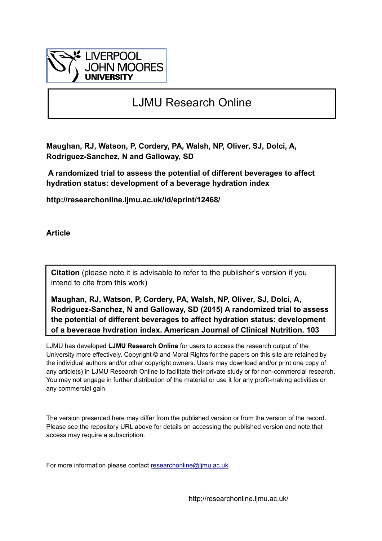

# LJMU Research Online

**Maughan, RJ, Watson, P, Cordery, PA, Walsh, NP, Oliver, SJ, Dolci, A, Rodriguez-Sanchez, N and Galloway, SD**

 **A randomized trial to assess the potential of different beverages to affect hydration status: development of a beverage hydration index**

**http://researchonline.ljmu.ac.uk/id/eprint/12468/**

**Article**

**Citation** (please note it is advisable to refer to the publisher's version if you intend to cite from this work)

**Maughan, RJ, Watson, P, Cordery, PA, Walsh, NP, Oliver, SJ, Dolci, A, Rodriguez-Sanchez, N and Galloway, SD (2015) A randomized trial to assess the potential of different beverages to affect hydration status: development of a beverage hydration index. American Journal of Clinical Nutrition, 103** 

LJMU has developed **[LJMU Research Online](http://researchonline.ljmu.ac.uk/)** for users to access the research output of the University more effectively. Copyright © and Moral Rights for the papers on this site are retained by the individual authors and/or other copyright owners. Users may download and/or print one copy of any article(s) in LJMU Research Online to facilitate their private study or for non-commercial research. You may not engage in further distribution of the material or use it for any profit-making activities or any commercial gain.

The version presented here may differ from the published version or from the version of the record. Please see the repository URL above for details on accessing the published version and note that access may require a subscription.

For more information please contact researchonline@limu.ac.uk

http://researchonline.ljmu.ac.uk/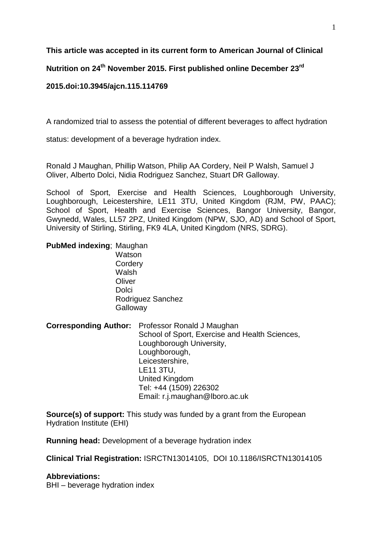**This article was accepted in its current form to American Journal of Clinical**

**Nutrition on 24th November 2015. First published online December 23rd**

## **2015.doi:10.3945/ajcn.115.114769**

A randomized trial to assess the potential of different beverages to affect hydration

status: development of a beverage hydration index.

Ronald J Maughan, Phillip Watson, Philip AA Cordery, Neil P Walsh, Samuel J Oliver, Alberto Dolci, Nidia Rodriguez Sanchez, Stuart DR Galloway.

School of Sport, Exercise and Health Sciences, Loughborough University, Loughborough, Leicestershire, LE11 3TU, United Kingdom (RJM, PW, PAAC); School of Sport, Health and Exercise Sciences, Bangor University, Bangor, Gwynedd, Wales, LL57 2PZ, United Kingdom (NPW, SJO, AD) and School of Sport, University of Stirling, Stirling, FK9 4LA, United Kingdom (NRS, SDRG).

# **PubMed indexing**; Maughan

Watson **Cordery** Walsh **Oliver Dolci** Rodriguez Sanchez **Galloway** 

**Corresponding Author:** Professor Ronald J Maughan School of Sport, Exercise and Health Sciences, Loughborough University, Loughborough, Leicestershire, LE11 3TU, United Kingdom Tel: +44 (1509) 226302 Email: r.j.maughan@lboro.ac.uk

**Source(s) of support:** This study was funded by a grant from the European Hydration Institute (EHI)

**Running head:** Development of a beverage hydration index

**Clinical Trial Registration:** ISRCTN13014105, DOI 10.1186/ISRCTN13014105

## **Abbreviations:**

BHI – beverage hydration index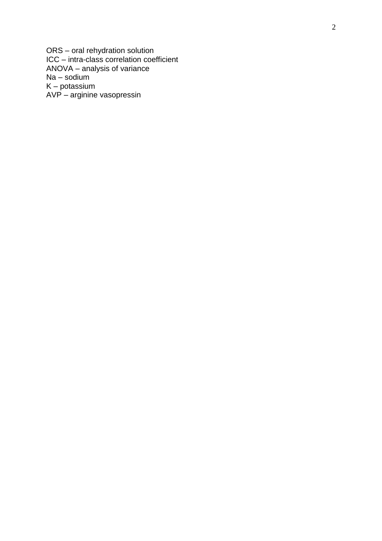ORS – oral rehydration solution ICC – intra -class correlation coefficient ANOVA – analysis of variance Na – sodium K – potassium AVP – arginine vasopressin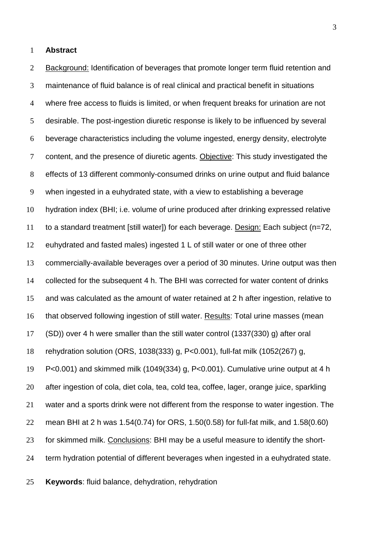**Abstract**

 Background: Identification of beverages that promote longer term fluid retention and maintenance of fluid balance is of real clinical and practical benefit in situations where free access to fluids is limited, or when frequent breaks for urination are not desirable. The post-ingestion diuretic response is likely to be influenced by several beverage characteristics including the volume ingested, energy density, electrolyte content, and the presence of diuretic agents. Objective: This study investigated the effects of 13 different commonly-consumed drinks on urine output and fluid balance when ingested in a euhydrated state, with a view to establishing a beverage hydration index (BHI; i.e. volume of urine produced after drinking expressed relative 11 to a standard treatment [still water]) for each beverage. Design: Each subject (n=72, euhydrated and fasted males) ingested 1 L of still water or one of three other commercially-available beverages over a period of 30 minutes. Urine output was then collected for the subsequent 4 h. The BHI was corrected for water content of drinks and was calculated as the amount of water retained at 2 h after ingestion, relative to that observed following ingestion of still water. Results: Total urine masses (mean (SD)) over 4 h were smaller than the still water control (1337(330) g) after oral rehydration solution (ORS, 1038(333) g, P<0.001), full-fat milk (1052(267) g, P<0.001) and skimmed milk (1049(334) g, P<0.001). Cumulative urine output at 4 h after ingestion of cola, diet cola, tea, cold tea, coffee, lager, orange juice, sparkling water and a sports drink were not different from the response to water ingestion. The mean BHI at 2 h was 1.54(0.74) for ORS, 1.50(0.58) for full-fat milk, and 1.58(0.60) for skimmed milk. Conclusions: BHI may be a useful measure to identify the short-term hydration potential of different beverages when ingested in a euhydrated state.

**Keywords**: fluid balance, dehydration, rehydration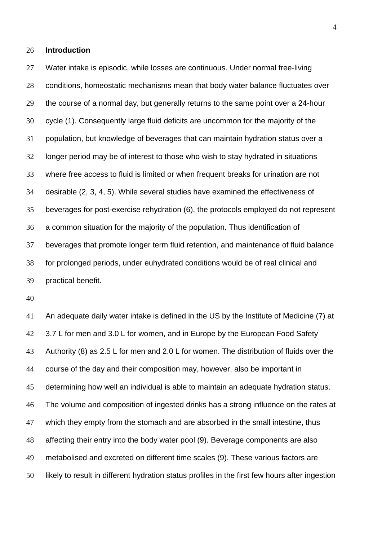## **Introduction**

 Water intake is episodic, while losses are continuous. Under normal free-living conditions, homeostatic mechanisms mean that body water balance fluctuates over the course of a normal day, but generally returns to the same point over a 24-hour cycle (1). Consequently large fluid deficits are uncommon for the majority of the population, but knowledge of beverages that can maintain hydration status over a longer period may be of interest to those who wish to stay hydrated in situations where free access to fluid is limited or when frequent breaks for urination are not desirable (2, 3, 4, 5). While several studies have examined the effectiveness of beverages for post-exercise rehydration (6), the protocols employed do not represent a common situation for the majority of the population. Thus identification of beverages that promote longer term fluid retention, and maintenance of fluid balance for prolonged periods, under euhydrated conditions would be of real clinical and practical benefit.

 An adequate daily water intake is defined in the US by the Institute of Medicine (7) at 42 3.7 L for men and 3.0 L for women, and in Europe by the European Food Safety Authority (8) as 2.5 L for men and 2.0 L for women. The distribution of fluids over the course of the day and their composition may, however, also be important in determining how well an individual is able to maintain an adequate hydration status. The volume and composition of ingested drinks has a strong influence on the rates at which they empty from the stomach and are absorbed in the small intestine, thus affecting their entry into the body water pool (9). Beverage components are also metabolised and excreted on different time scales (9). These various factors are likely to result in different hydration status profiles in the first few hours after ingestion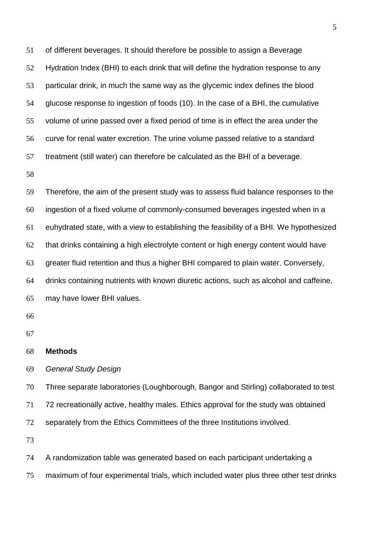of different beverages. It should therefore be possible to assign a Beverage Hydration Index (BHI) to each drink that will define the hydration response to any particular drink, in much the same way as the glycemic index defines the blood glucose response to ingestion of foods (10). In the case of a BHI, the cumulative volume of urine passed over a fixed period of time is in effect the area under the curve for renal water excretion. The urine volume passed relative to a standard treatment (still water) can therefore be calculated as the BHI of a beverage.

 Therefore, the aim of the present study was to assess fluid balance responses to the ingestion of a fixed volume of commonly-consumed beverages ingested when in a euhydrated state, with a view to establishing the feasibility of a BHI. We hypothesized that drinks containing a high electrolyte content or high energy content would have greater fluid retention and thus a higher BHI compared to plain water. Conversely, drinks containing nutrients with known diuretic actions, such as alcohol and caffeine, may have lower BHI values.

| 68 | <b>Methods</b> |
|----|----------------|
|----|----------------|

*General Study Design*

 Three separate laboratories (Loughborough, Bangor and Stirling) collaborated to test 72 recreationally active, healthy males. Ethics approval for the study was obtained separately from the Ethics Committees of the three Institutions involved.

A randomization table was generated based on each participant undertaking a

maximum of four experimental trials, which included water plus three other test drinks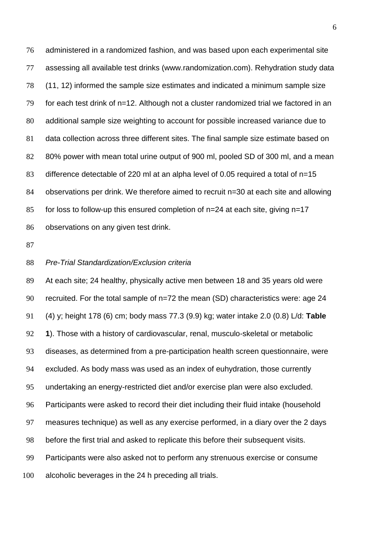administered in a randomized fashion, and was based upon each experimental site assessing all available test drinks (www.randomization.com). Rehydration study data (11, 12) informed the sample size estimates and indicated a minimum sample size for each test drink of n=12. Although not a cluster randomized trial we factored in an additional sample size weighting to account for possible increased variance due to data collection across three different sites. The final sample size estimate based on 80% power with mean total urine output of 900 ml, pooled SD of 300 ml, and a mean difference detectable of 220 ml at an alpha level of 0.05 required a total of n=15 84 observations per drink. We therefore aimed to recruit n=30 at each site and allowing for loss to follow-up this ensured completion of n=24 at each site, giving n=17 observations on any given test drink.

#### *Pre-Trial Standardization/Exclusion criteria*

 At each site; 24 healthy, physically active men between 18 and 35 years old were recruited. For the total sample of n=72 the mean (SD) characteristics were: age 24 (4) y; height 178 (6) cm; body mass 77.3 (9.9) kg; water intake 2.0 (0.8) L/d: **Table 1**). Those with a history of cardiovascular, renal, musculo-skeletal or metabolic diseases, as determined from a pre-participation health screen questionnaire, were excluded. As body mass was used as an index of euhydration, those currently undertaking an energy-restricted diet and/or exercise plan were also excluded. Participants were asked to record their diet including their fluid intake (household measures technique) as well as any exercise performed, in a diary over the 2 days before the first trial and asked to replicate this before their subsequent visits. Participants were also asked not to perform any strenuous exercise or consume alcoholic beverages in the 24 h preceding all trials.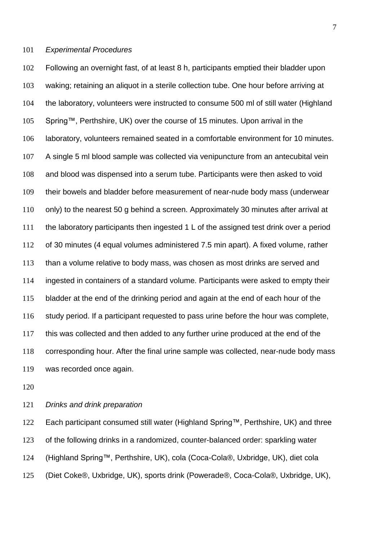## *Experimental Procedures*

 Following an overnight fast, of at least 8 h, participants emptied their bladder upon waking; retaining an aliquot in a sterile collection tube. One hour before arriving at the laboratory, volunteers were instructed to consume 500 ml of still water (Highland Spring™, Perthshire, UK) over the course of 15 minutes. Upon arrival in the laboratory, volunteers remained seated in a comfortable environment for 10 minutes. A single 5 ml blood sample was collected via venipuncture from an antecubital vein and blood was dispensed into a serum tube. Participants were then asked to void their bowels and bladder before measurement of near-nude body mass (underwear only) to the nearest 50 g behind a screen. Approximately 30 minutes after arrival at the laboratory participants then ingested 1 L of the assigned test drink over a period of 30 minutes (4 equal volumes administered 7.5 min apart). A fixed volume, rather than a volume relative to body mass, was chosen as most drinks are served and ingested in containers of a standard volume. Participants were asked to empty their bladder at the end of the drinking period and again at the end of each hour of the study period. If a participant requested to pass urine before the hour was complete, this was collected and then added to any further urine produced at the end of the corresponding hour. After the final urine sample was collected, near-nude body mass was recorded once again.

## *Drinks and drink preparation*

 Each participant consumed still water (Highland Spring™, Perthshire, UK) and three of the following drinks in a randomized, counter-balanced order: sparkling water (Highland Spring™, Perthshire, UK), cola (Coca-Cola®, Uxbridge, UK), diet cola (Diet Coke®, Uxbridge, UK), sports drink (Powerade®, Coca-Cola®, Uxbridge, UK),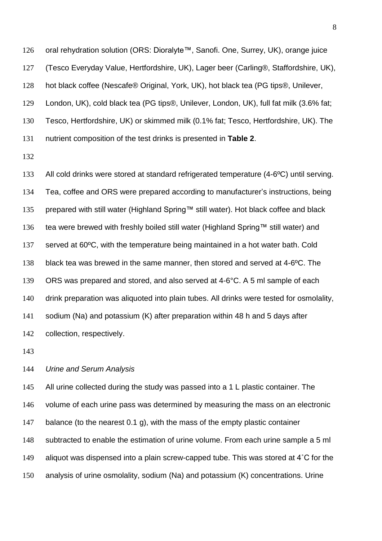oral rehydration solution (ORS: Dioralyte™, Sanofi. One, Surrey, UK), orange juice (Tesco Everyday Value, Hertfordshire, UK), Lager beer (Carling®, Staffordshire, UK), hot black coffee (Nescafe® Original, York, UK), hot black tea (PG tips®, Unilever, London, UK), cold black tea (PG tips®, Unilever, London, UK), full fat milk (3.6% fat; Tesco, Hertfordshire, UK) or skimmed milk (0.1% fat; Tesco, Hertfordshire, UK). The nutrient composition of the test drinks is presented in **Table 2**.

 All cold drinks were stored at standard refrigerated temperature (4-6ºC) until serving. Tea, coffee and ORS were prepared according to manufacturer's instructions, being prepared with still water (Highland Spring™ still water). Hot black coffee and black tea were brewed with freshly boiled still water (Highland Spring™ still water) and served at 60ºC, with the temperature being maintained in a hot water bath. Cold black tea was brewed in the same manner, then stored and served at 4-6ºC. The ORS was prepared and stored, and also served at 4-6°C. A 5 ml sample of each drink preparation was aliquoted into plain tubes. All drinks were tested for osmolality, sodium (Na) and potassium (K) after preparation within 48 h and 5 days after collection, respectively.

## *Urine and Serum Analysis*

145 All urine collected during the study was passed into a 1 L plastic container. The volume of each urine pass was determined by measuring the mass on an electronic 147 balance (to the nearest 0.1 g), with the mass of the empty plastic container subtracted to enable the estimation of urine volume. From each urine sample a 5 ml aliquot was dispensed into a plain screw-capped tube. This was stored at 4˚C for the analysis of urine osmolality, sodium (Na) and potassium (K) concentrations. Urine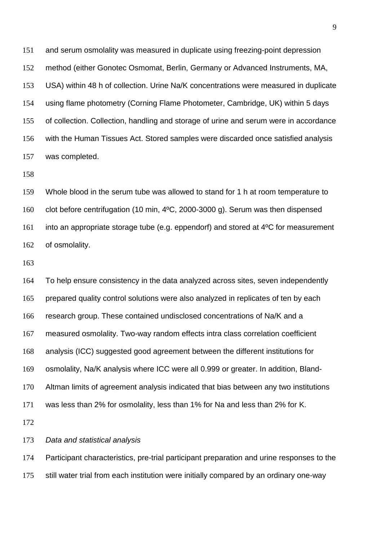and serum osmolality was measured in duplicate using freezing-point depression method (either Gonotec Osmomat, Berlin, Germany or Advanced Instruments, MA, USA) within 48 h of collection. Urine Na/K concentrations were measured in duplicate using flame photometry (Corning Flame Photometer, Cambridge, UK) within 5 days of collection. Collection, handling and storage of urine and serum were in accordance with the Human Tissues Act. Stored samples were discarded once satisfied analysis was completed.

 Whole blood in the serum tube was allowed to stand for 1 h at room temperature to clot before centrifugation (10 min, 4ºC, 2000-3000 g). Serum was then dispensed into an appropriate storage tube (e.g. eppendorf) and stored at 4ºC for measurement of osmolality.

 To help ensure consistency in the data analyzed across sites, seven independently prepared quality control solutions were also analyzed in replicates of ten by each research group. These contained undisclosed concentrations of Na/K and a measured osmolality. Two-way random effects intra class correlation coefficient analysis (ICC) suggested good agreement between the different institutions for osmolality, Na/K analysis where ICC were all 0.999 or greater. In addition, Bland- Altman limits of agreement analysis indicated that bias between any two institutions was less than 2% for osmolality, less than 1% for Na and less than 2% for K.

*Data and statistical analysis*

 Participant characteristics, pre-trial participant preparation and urine responses to the still water trial from each institution were initially compared by an ordinary one-way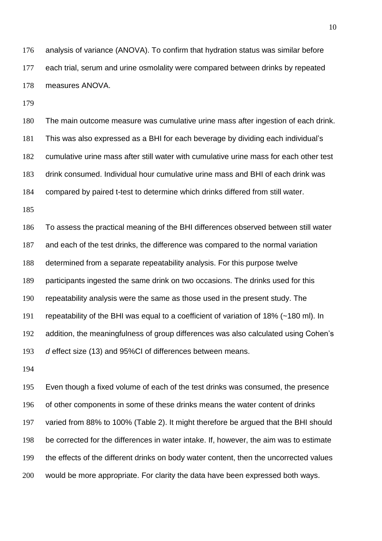analysis of variance (ANOVA). To confirm that hydration status was similar before each trial, serum and urine osmolality were compared between drinks by repeated measures ANOVA.

 The main outcome measure was cumulative urine mass after ingestion of each drink. This was also expressed as a BHI for each beverage by dividing each individual's cumulative urine mass after still water with cumulative urine mass for each other test drink consumed. Individual hour cumulative urine mass and BHI of each drink was compared by paired t-test to determine which drinks differed from still water.

 To assess the practical meaning of the BHI differences observed between still water and each of the test drinks, the difference was compared to the normal variation determined from a separate repeatability analysis. For this purpose twelve participants ingested the same drink on two occasions. The drinks used for this repeatability analysis were the same as those used in the present study. The repeatability of the BHI was equal to a coefficient of variation of 18% (~180 ml). In addition, the meaningfulness of group differences was also calculated using Cohen's *d* effect size (13) and 95%CI of differences between means.

 Even though a fixed volume of each of the test drinks was consumed, the presence of other components in some of these drinks means the water content of drinks varied from 88% to 100% (Table 2). It might therefore be argued that the BHI should be corrected for the differences in water intake. If, however, the aim was to estimate the effects of the different drinks on body water content, then the uncorrected values would be more appropriate. For clarity the data have been expressed both ways.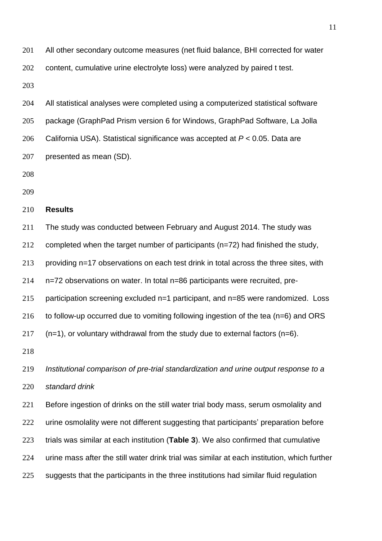All other secondary outcome measures (net fluid balance, BHI corrected for water content, cumulative urine electrolyte loss) were analyzed by paired t test.

 All statistical analyses were completed using a computerized statistical software package (GraphPad Prism version 6 for Windows, GraphPad Software, La Jolla California USA). Statistical significance was accepted at *P* < 0.05. Data are presented as mean (SD).

## **Results**

The study was conducted between February and August 2014. The study was

completed when the target number of participants (n=72) had finished the study,

providing n=17 observations on each test drink in total across the three sites, with

n=72 observations on water. In total n=86 participants were recruited, pre-

participation screening excluded n=1 participant, and n=85 were randomized. Loss

216 to follow-up occurred due to vomiting following ingestion of the tea (n=6) and ORS

(n=1), or voluntary withdrawal from the study due to external factors (n=6).

 *Institutional comparison of pre-trial standardization and urine output response to a standard drink*

221 Before ingestion of drinks on the still water trial body mass, serum osmolality and 222 urine osmolality were not different suggesting that participants' preparation before trials was similar at each institution (**Table 3**). We also confirmed that cumulative urine mass after the still water drink trial was similar at each institution, which further 225 suggests that the participants in the three institutions had similar fluid regulation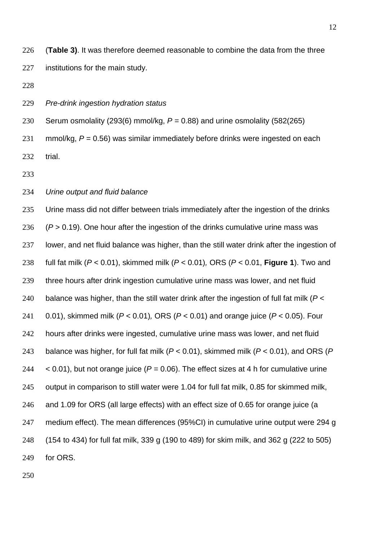(**Table 3)**. It was therefore deemed reasonable to combine the data from the three institutions for the main study.

*Pre-drink ingestion hydration status*

 Serum osmolality (293(6) mmol/kg, *P* = 0.88) and urine osmolality (582(265) mmol/kg, *P* = 0.56) was similar immediately before drinks were ingested on each trial.

- 
- *Urine output and fluid balance*

 Urine mass did not differ between trials immediately after the ingestion of the drinks (*P* > 0.19). One hour after the ingestion of the drinks cumulative urine mass was lower, and net fluid balance was higher, than the still water drink after the ingestion of full fat milk (*P* < 0.01), skimmed milk (*P* < 0.01)*,* ORS (*P* < 0.01, **Figure 1**). Two and three hours after drink ingestion cumulative urine mass was lower, and net fluid balance was higher, than the still water drink after the ingestion of full fat milk (*P* < 0.01), skimmed milk (*P* < 0.01)*,* ORS (*P* < 0.01) and orange juice (*P* < 0.05). Four hours after drinks were ingested, cumulative urine mass was lower, and net fluid balance was higher, for full fat milk (*P* < 0.01), skimmed milk (*P* < 0.01), and ORS (*P*  $\leq$  0.01), but not orange juice ( $P = 0.06$ ). The effect sizes at 4 h for cumulative urine output in comparison to still water were 1.04 for full fat milk, 0.85 for skimmed milk, and 1.09 for ORS (all large effects) with an effect size of 0.65 for orange juice (a 247 medium effect). The mean differences (95%CI) in cumulative urine output were 294 g (154 to 434) for full fat milk, 339 g (190 to 489) for skim milk, and 362 g (222 to 505) for ORS.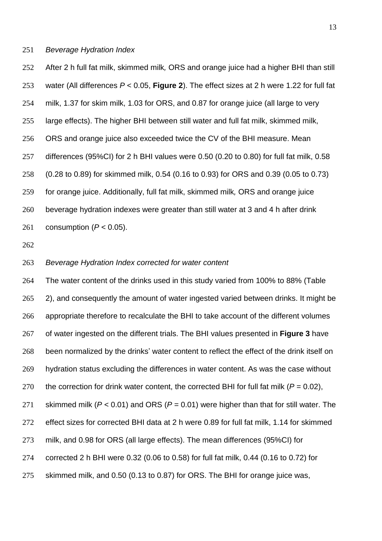## *Beverage Hydration Index*

 After 2 h full fat milk, skimmed milk*,* ORS and orange juice had a higher BHI than still water (All differences *P* < 0.05, **Figure 2**). The effect sizes at 2 h were 1.22 for full fat milk, 1.37 for skim milk, 1.03 for ORS, and 0.87 for orange juice (all large to very large effects). The higher BHI between still water and full fat milk, skimmed milk, ORS and orange juice also exceeded twice the CV of the BHI measure. Mean differences (95%CI) for 2 h BHI values were 0.50 (0.20 to 0.80) for full fat milk, 0.58 (0.28 to 0.89) for skimmed milk, 0.54 (0.16 to 0.93) for ORS and 0.39 (0.05 to 0.73) for orange juice. Additionally, full fat milk, skimmed milk*,* ORS and orange juice beverage hydration indexes were greater than still water at 3 and 4 h after drink consumption (*P* < 0.05).

#### *Beverage Hydration Index corrected for water content*

 The water content of the drinks used in this study varied from 100% to 88% (Table 265 2), and consequently the amount of water ingested varied between drinks. It might be appropriate therefore to recalculate the BHI to take account of the different volumes of water ingested on the different trials. The BHI values presented in **Figure 3** have been normalized by the drinks' water content to reflect the effect of the drink itself on hydration status excluding the differences in water content. As was the case without 270 the correction for drink water content, the corrected BHI for full fat milk  $(P = 0.02)$ , skimmed milk (*P* < 0.01) and ORS (*P* = 0.01) were higher than that for still water. The effect sizes for corrected BHI data at 2 h were 0.89 for full fat milk, 1.14 for skimmed milk, and 0.98 for ORS (all large effects). The mean differences (95%CI) for corrected 2 h BHI were 0.32 (0.06 to 0.58) for full fat milk, 0.44 (0.16 to 0.72) for skimmed milk, and 0.50 (0.13 to 0.87) for ORS. The BHI for orange juice was,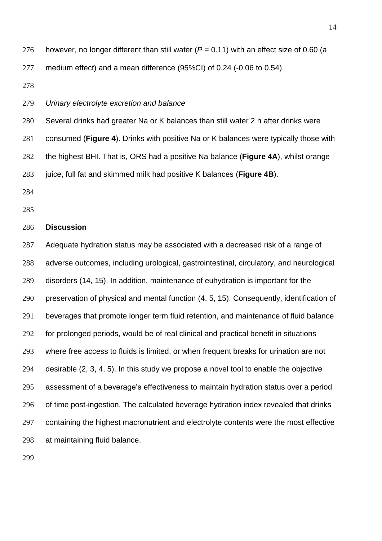- 276 however, no longer different than still water  $(P = 0.11)$  with an effect size of 0.60 (a medium effect) and a mean difference (95%CI) of 0.24 (-0.06 to 0.54).
- 

## *Urinary electrolyte excretion and balance*

Several drinks had greater Na or K balances than still water 2 h after drinks were

consumed (**Figure 4**). Drinks with positive Na or K balances were typically those with

the highest BHI. That is, ORS had a positive Na balance (**Figure 4A**), whilst orange

juice, full fat and skimmed milk had positive K balances (**Figure 4B**).

- 
- 

#### **Discussion**

 Adequate hydration status may be associated with a decreased risk of a range of adverse outcomes, including urological, gastrointestinal, circulatory, and neurological disorders (14, 15). In addition, maintenance of euhydration is important for the preservation of physical and mental function (4, 5, 15). Consequently, identification of beverages that promote longer term fluid retention, and maintenance of fluid balance for prolonged periods, would be of real clinical and practical benefit in situations where free access to fluids is limited, or when frequent breaks for urination are not desirable (2, 3, 4, 5). In this study we propose a novel tool to enable the objective assessment of a beverage's effectiveness to maintain hydration status over a period 296 of time post-ingestion. The calculated beverage hydration index revealed that drinks containing the highest macronutrient and electrolyte contents were the most effective at maintaining fluid balance.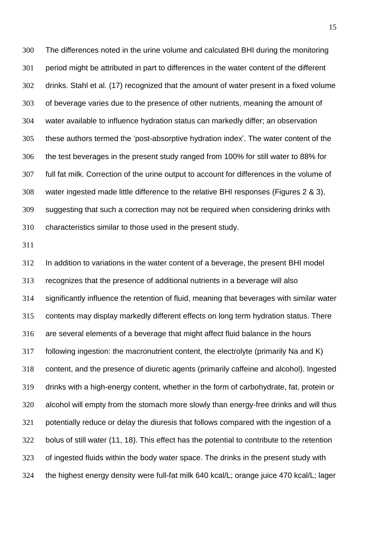The differences noted in the urine volume and calculated BHI during the monitoring period might be attributed in part to differences in the water content of the different drinks. Stahl et al. (17) recognized that the amount of water present in a fixed volume of beverage varies due to the presence of other nutrients, meaning the amount of water available to influence hydration status can markedly differ; an observation these authors termed the 'post-absorptive hydration index'. The water content of the the test beverages in the present study ranged from 100% for still water to 88% for full fat milk. Correction of the urine output to account for differences in the volume of water ingested made little difference to the relative BHI responses (Figures 2 & 3), suggesting that such a correction may not be required when considering drinks with characteristics similar to those used in the present study.

 In addition to variations in the water content of a beverage, the present BHI model recognizes that the presence of additional nutrients in a beverage will also significantly influence the retention of fluid, meaning that beverages with similar water contents may display markedly different effects on long term hydration status. There are several elements of a beverage that might affect fluid balance in the hours following ingestion: the macronutrient content, the electrolyte (primarily Na and K) content, and the presence of diuretic agents (primarily caffeine and alcohol). Ingested drinks with a high-energy content, whether in the form of carbohydrate, fat, protein or alcohol will empty from the stomach more slowly than energy-free drinks and will thus potentially reduce or delay the diuresis that follows compared with the ingestion of a bolus of still water (11, 18). This effect has the potential to contribute to the retention of ingested fluids within the body water space. The drinks in the present study with the highest energy density were full-fat milk 640 kcal/L; orange juice 470 kcal/L; lager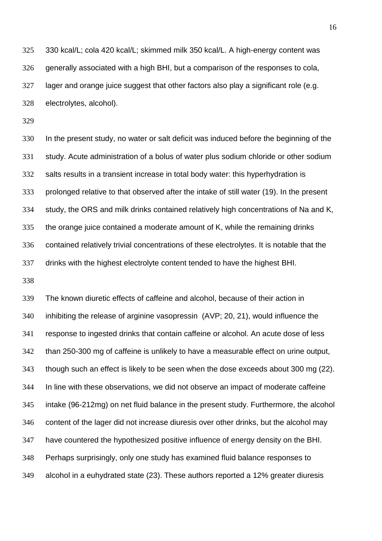330 kcal/L; cola 420 kcal/L; skimmed milk 350 kcal/L. A high-energy content was generally associated with a high BHI, but a comparison of the responses to cola, lager and orange juice suggest that other factors also play a significant role (e.g. electrolytes, alcohol).

 In the present study, no water or salt deficit was induced before the beginning of the study. Acute administration of a bolus of water plus sodium chloride or other sodium salts results in a transient increase in total body water: this hyperhydration is prolonged relative to that observed after the intake of still water (19). In the present study, the ORS and milk drinks contained relatively high concentrations of Na and K, the orange juice contained a moderate amount of K, while the remaining drinks contained relatively trivial concentrations of these electrolytes. It is notable that the drinks with the highest electrolyte content tended to have the highest BHI.

 The known diuretic effects of caffeine and alcohol, because of their action in inhibiting the release of arginine vasopressin (AVP; 20, 21), would influence the response to ingested drinks that contain caffeine or alcohol. An acute dose of less than 250-300 mg of caffeine is unlikely to have a measurable effect on urine output, though such an effect is likely to be seen when the dose exceeds about 300 mg (22). In line with these observations, we did not observe an impact of moderate caffeine intake (96-212mg) on net fluid balance in the present study. Furthermore, the alcohol content of the lager did not increase diuresis over other drinks, but the alcohol may have countered the hypothesized positive influence of energy density on the BHI. Perhaps surprisingly, only one study has examined fluid balance responses to alcohol in a euhydrated state (23). These authors reported a 12% greater diuresis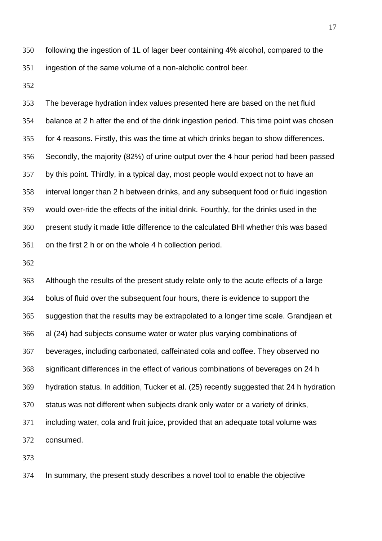following the ingestion of 1L of lager beer containing 4% alcohol, compared to the ingestion of the same volume of a non-alcholic control beer.

 The beverage hydration index values presented here are based on the net fluid balance at 2 h after the end of the drink ingestion period. This time point was chosen for 4 reasons. Firstly, this was the time at which drinks began to show differences. Secondly, the majority (82%) of urine output over the 4 hour period had been passed by this point. Thirdly, in a typical day, most people would expect not to have an interval longer than 2 h between drinks, and any subsequent food or fluid ingestion would over-ride the effects of the initial drink. Fourthly, for the drinks used in the present study it made little difference to the calculated BHI whether this was based on the first 2 h or on the whole 4 h collection period.

 Although the results of the present study relate only to the acute effects of a large bolus of fluid over the subsequent four hours, there is evidence to support the suggestion that the results may be extrapolated to a longer time scale. Grandjean et al (24) had subjects consume water or water plus varying combinations of beverages, including carbonated, caffeinated cola and coffee. They observed no significant differences in the effect of various combinations of beverages on 24 h hydration status. In addition, Tucker et al. (25) recently suggested that 24 h hydration status was not different when subjects drank only water or a variety of drinks, including water, cola and fruit juice, provided that an adequate total volume was consumed.

In summary, the present study describes a novel tool to enable the objective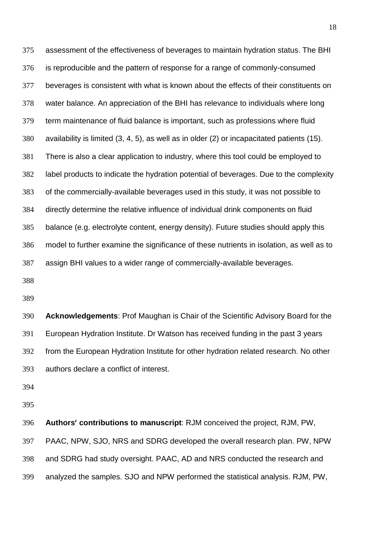assessment of the effectiveness of beverages to maintain hydration status. The BHI is reproducible and the pattern of response for a range of commonly-consumed beverages is consistent with what is known about the effects of their constituents on water balance. An appreciation of the BHI has relevance to individuals where long term maintenance of fluid balance is important, such as professions where fluid availability is limited (3, 4, 5), as well as in older (2) or incapacitated patients (15). There is also a clear application to industry, where this tool could be employed to label products to indicate the hydration potential of beverages. Due to the complexity of the commercially-available beverages used in this study, it was not possible to directly determine the relative influence of individual drink components on fluid balance (e.g. electrolyte content, energy density). Future studies should apply this model to further examine the significance of these nutrients in isolation, as well as to assign BHI values to a wider range of commercially-available beverages.

 **Acknowledgements**: Prof Maughan is Chair of the Scientific Advisory Board for the European Hydration Institute. Dr Watson has received funding in the past 3 years from the European Hydration Institute for other hydration related research. No other authors declare a conflict of interest.

 **Authors' contributions to manuscript**: RJM conceived the project, RJM, PW, PAAC, NPW, SJO, NRS and SDRG developed the overall research plan. PW, NPW and SDRG had study oversight. PAAC, AD and NRS conducted the research and analyzed the samples. SJO and NPW performed the statistical analysis. RJM, PW,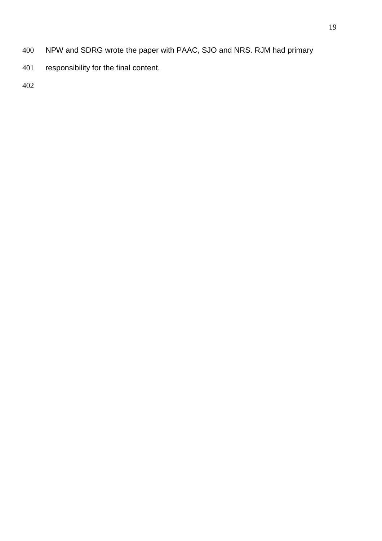- NPW and SDRG wrote the paper with PAAC, SJO and NRS. RJM had primary
- responsibility for the final content.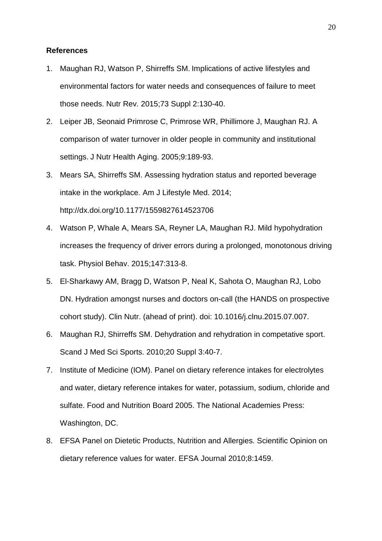## **References**

- 1. Maughan RJ, Watson P, Shirreffs SM. Implications of active lifestyles and environmental factors for water needs and consequences of failure to meet those needs. Nutr Rev. 2015;73 Suppl 2:130-40.
- 2. Leiper JB, Seonaid Primrose C, Primrose WR, Phillimore J, Maughan RJ. A comparison of water turnover in older people in community and institutional settings. J Nutr Health Aging. 2005;9:189-93.
- 3. Mears SA, Shirreffs SM. Assessing hydration status and reported beverage intake in the workplace. Am J Lifestyle Med. 2014; http://dx.doi.org/10.1177/1559827614523706
- 4. Watson P, Whale A, Mears SA, Reyner LA, Maughan RJ. Mild hypohydration increases the frequency of driver errors during a prolonged, monotonous driving task. Physiol Behav. 2015;147:313-8.
- 5. El-Sharkawy AM, Bragg D, Watson P, Neal K, Sahota O, Maughan RJ, Lobo DN. Hydration amongst nurses and doctors on-call (the HANDS on prospective cohort study). Clin Nutr. (ahead of print). doi: 10.1016/j.clnu.2015.07.007.
- 6. Maughan RJ, Shirreffs SM. Dehydration and rehydration in competative sport. Scand J Med Sci Sports. 2010;20 Suppl 3:40-7.
- 7. Institute of Medicine (IOM). Panel on dietary reference intakes for electrolytes and water, dietary reference intakes for water, potassium, sodium, chloride and sulfate. Food and Nutrition Board 2005. The National Academies Press: Washington, DC.
- 8. EFSA Panel on Dietetic Products, Nutrition and Allergies. Scientific Opinion on dietary reference values for water. EFSA Journal 2010;8:1459.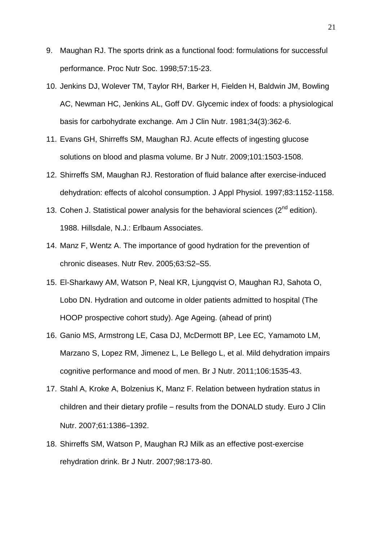- 9. Maughan RJ. The sports drink as a functional food: formulations for successful performance. Proc Nutr Soc. 1998;57:15-23.
- 10. Jenkins DJ, Wolever TM, Taylor RH, Barker H, Fielden H, Baldwin JM, Bowling AC, Newman HC, Jenkins AL, Goff DV. Glycemic index of foods: a physiological basis for carbohydrate exchange. Am J Clin Nutr. 1981;34(3):362-6.
- 11. Evans GH, Shirreffs SM, Maughan RJ. Acute effects of ingesting glucose solutions on blood and plasma volume. Br J Nutr. 2009;101:1503-1508.
- 12. Shirreffs SM, Maughan RJ. Restoration of fluid balance after exercise-induced dehydration: effects of alcohol consumption. J Appl Physiol. 1997;83:1152-1158.
- 13. Cohen J. Statistical power analysis for the behavioral sciences  $(2^{nd}$  edition). 1988. Hillsdale, N.J.: Erlbaum Associates.
- 14. Manz F, Wentz A. The importance of good hydration for the prevention of chronic diseases. Nutr Rev. 2005;63:S2–S5.
- 15. El-Sharkawy AM, Watson P, Neal KR, Ljungqvist O, Maughan RJ, Sahota O, Lobo DN. Hydration and outcome in older patients admitted to hospital (The HOOP prospective cohort study). Age Ageing. (ahead of print)
- 16. Ganio MS, Armstrong LE, Casa DJ, McDermott BP, Lee EC, Yamamoto LM, Marzano S, Lopez RM, Jimenez L, Le Bellego L, et al. Mild dehydration impairs cognitive performance and mood of men. Br J Nutr. 2011;106:1535-43.
- 17. Stahl A, Kroke A, Bolzenius K, Manz F. Relation between hydration status in children and their dietary profile – results from the DONALD study. Euro J Clin Nutr. 2007;61:1386–1392.
- 18. Shirreffs SM, Watson P, Maughan RJ Milk as an effective post-exercise rehydration drink. Br J Nutr. 2007;98:173-80.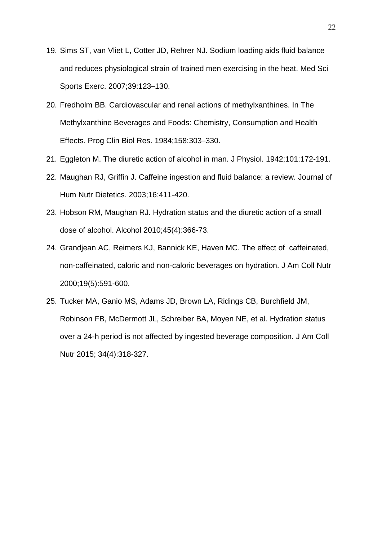- 19. Sims ST, van Vliet L, Cotter JD, Rehrer NJ. Sodium loading aids fluid balance and reduces physiological strain of trained men exercising in the heat. Med Sci Sports Exerc. 2007;39:123–130.
- 20. Fredholm BB. Cardiovascular and renal actions of methylxanthines. In The Methylxanthine Beverages and Foods: Chemistry, Consumption and Health Effects. Prog Clin Biol Res. 1984;158:303–330.
- 21. Eggleton M. The diuretic action of alcohol in man. J Physiol. 1942;101:172-191.
- 22. Maughan RJ, Griffin J. Caffeine ingestion and fluid balance: a review. Journal of Hum Nutr Dietetics. 2003;16:411-420.
- 23. Hobson RM, Maughan RJ. Hydration status and the diuretic action of a small dose of alcohol. Alcohol 2010;45(4):366-73.
- 24. Grandjean AC, Reimers KJ, Bannick KE, Haven MC. The effect of caffeinated, non-caffeinated, caloric and non-caloric beverages on hydration. J Am Coll Nutr 2000;19(5):591-600.
- 25. Tucker MA, Ganio MS, Adams JD, Brown LA, Ridings CB, Burchfield JM, Robinson FB, McDermott JL, Schreiber BA, Moyen NE, et al. Hydration status over a 24-h period is not affected by ingested beverage composition. J Am Coll Nutr 2015; 34(4):318-327.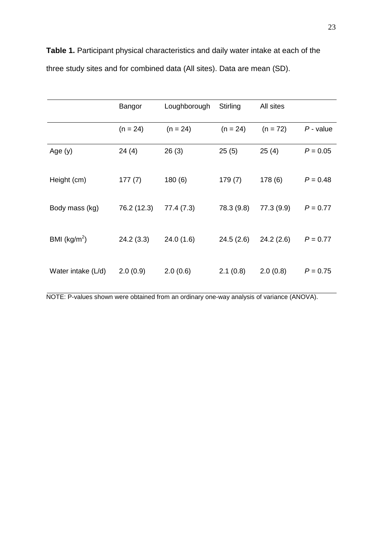|                         | Bangor      | Loughborough | Stirling   | All sites  |             |
|-------------------------|-------------|--------------|------------|------------|-------------|
|                         | $(n = 24)$  | $(n = 24)$   | $(n = 24)$ | $(n = 72)$ | $P$ - value |
| Age $(y)$               | 24(4)       | 26(3)        | 25(5)      | 25(4)      | $P = 0.05$  |
| Height (cm)             | 177(7)      | 180(6)       | 179(7)     | 178(6)     | $P = 0.48$  |
| Body mass (kg)          | 76.2 (12.3) | 77.4 (7.3)   | 78.3 (9.8) | 77.3 (9.9) | $P = 0.77$  |
| BMI ( $\text{kg/m}^2$ ) | 24.2(3.3)   | 24.0(1.6)    | 24.5(2.6)  | 24.2(2.6)  | $P = 0.77$  |
| Water intake (L/d)      | 2.0(0.9)    | 2.0(0.6)     | 2.1(0.8)   | 2.0(0.8)   | $P = 0.75$  |

**Table 1.** Participant physical characteristics and daily water intake at each of the three study sites and for combined data (All sites). Data are mean (SD).

NOTE: P-values shown were obtained from an ordinary one-way analysis of variance (ANOVA).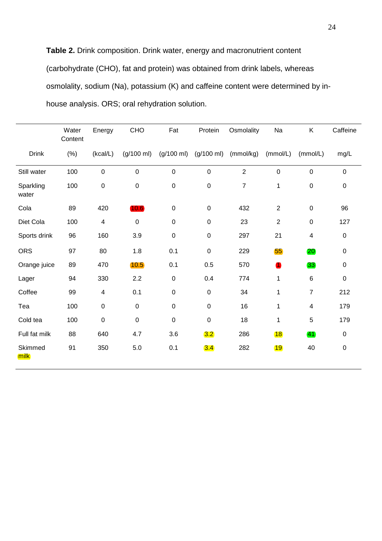**Table 2.** Drink composition. Drink water, energy and macronutrient content (carbohydrate (CHO), fat and protein) was obtained from drink labels, whereas osmolality, sodium (Na), potassium (K) and caffeine content were determined by inhouse analysis. ORS; oral rehydration solution.

|                    | Water<br>Content | Energy           | CHO                  | Fat                  | Protein              | Osmolality     | Na             | Κ              | Caffeine    |
|--------------------|------------------|------------------|----------------------|----------------------|----------------------|----------------|----------------|----------------|-------------|
| <b>Drink</b>       | (% )             | (kcal/L)         | $(g/100 \text{ ml})$ | $(g/100 \text{ ml})$ | $(g/100 \text{ ml})$ | (mmol/kg)      | (mmol/L)       | (mmol/L)       | mg/L        |
| Still water        | 100              | $\mathbf 0$      | $\pmb{0}$            | 0                    | $\pmb{0}$            | $\overline{2}$ | $\mathbf 0$    | $\pmb{0}$      | $\mathbf 0$ |
| Sparkling<br>water | 100              | $\boldsymbol{0}$ | $\mathbf 0$          | $\pmb{0}$            | $\pmb{0}$            | $\overline{7}$ | $\mathbf 1$    | $\pmb{0}$      | $\pmb{0}$   |
| Cola               | 89               | 420              | 10.6                 | $\pmb{0}$            | $\pmb{0}$            | 432            | $\overline{2}$ | $\pmb{0}$      | 96          |
| Diet Cola          | 100              | 4                | $\mathbf 0$          | $\pmb{0}$            | $\mathbf 0$          | 23             | $\overline{2}$ | $\pmb{0}$      | 127         |
| Sports drink       | 96               | 160              | 3.9                  | $\pmb{0}$            | $\mathbf 0$          | 297            | 21             | 4              | $\mathbf 0$ |
| <b>ORS</b>         | 97               | 80               | 1.8                  | 0.1                  | $\pmb{0}$            | 229            | 55             | <b>20</b>      | $\pmb{0}$   |
| Orange juice       | 89               | 470              | 10.5                 | 0.1                  | 0.5                  | 570            | $\bullet$      | 33             | $\pmb{0}$   |
| Lager              | 94               | 330              | 2.2                  | $\pmb{0}$            | 0.4                  | 774            | 1              | 6              | $\mathbf 0$ |
| Coffee             | 99               | 4                | 0.1                  | $\pmb{0}$            | $\mathbf 0$          | 34             | 1              | $\overline{7}$ | 212         |
| Tea                | 100              | $\mathsf 0$      | $\mathbf 0$          | $\pmb{0}$            | $\pmb{0}$            | 16             | $\mathbf 1$    | $\overline{4}$ | 179         |
| Cold tea           | 100              | $\mathbf 0$      | $\mathbf 0$          | $\mathbf 0$          | $\mathbf 0$          | 18             | 1              | 5              | 179         |
| Full fat milk      | 88               | 640              | 4.7                  | 3.6                  | 3.2                  | 286            | 18             | 41             | $\mathbf 0$ |
| Skimmed<br>milk    | 91               | 350              | 5.0                  | 0.1                  | 3.4                  | 282            | <b>19</b>      | 40             | $\pmb{0}$   |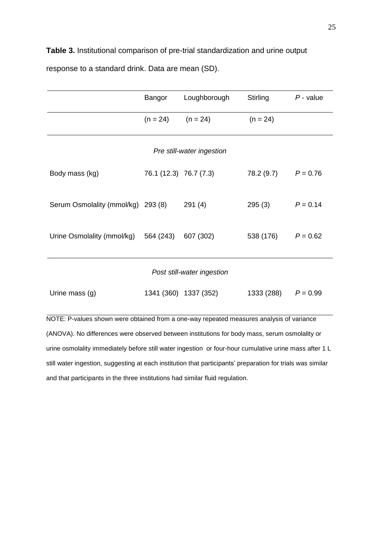**Table 3.** Institutional comparison of pre-trial standardization and urine output response to a standard drink. Data are mean (SD).

|                                                | Bangor                 | Loughborough          | Stirling   | $P$ - value |  |  |  |  |
|------------------------------------------------|------------------------|-----------------------|------------|-------------|--|--|--|--|
|                                                | $(n = 24)$             | $(n = 24)$            | $(n = 24)$ |             |  |  |  |  |
| Pre still-water ingestion                      |                        |                       |            |             |  |  |  |  |
| Body mass (kg)                                 | 76.1 (12.3) 76.7 (7.3) |                       | 78.2 (9.7) | $P = 0.76$  |  |  |  |  |
| Serum Osmolality (mmol/kg) 293 (8)             |                        | 291(4)                | 295(3)     | $P = 0.14$  |  |  |  |  |
| Urine Osmolality (mmol/kg) 564 (243) 607 (302) |                        |                       | 538 (176)  | $P = 0.62$  |  |  |  |  |
| Post still-water ingestion                     |                        |                       |            |             |  |  |  |  |
| Urine mass (g)                                 |                        | 1341 (360) 1337 (352) | 1333 (288) | $P = 0.99$  |  |  |  |  |

values shown were obtained from a one-way repeated measures analysis of variance (ANOVA). No differences were observed between institutions for body mass, serum osmolality or urine osmolality immediately before still water ingestion or four-hour cumulative urine mass after 1 L still water ingestion, suggesting at each institution that participants' preparation for trials was similar and that participants in the three institutions had similar fluid regulation.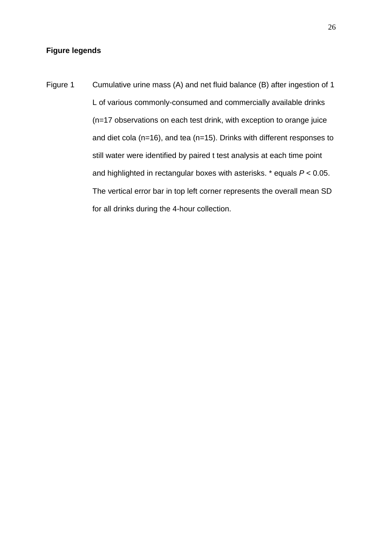# **Figure legends**

Figure 1 Cumulative urine mass (A) and net fluid balance (B) after ingestion of 1 L of various commonly-consumed and commercially available drinks (n=17 observations on each test drink, with exception to orange juice and diet cola (n=16), and tea (n=15). Drinks with different responses to still water were identified by paired t test analysis at each time point and highlighted in rectangular boxes with asterisks. \* equals *P* < 0.05. The vertical error bar in top left corner represents the overall mean SD for all drinks during the 4-hour collection.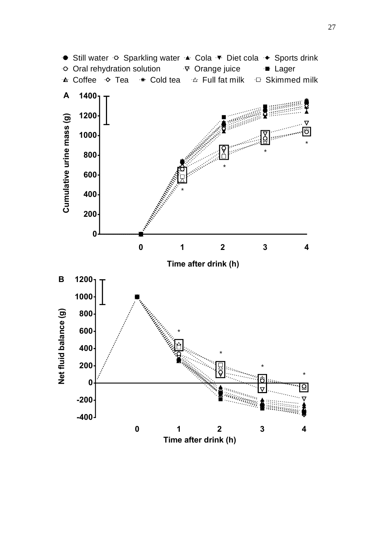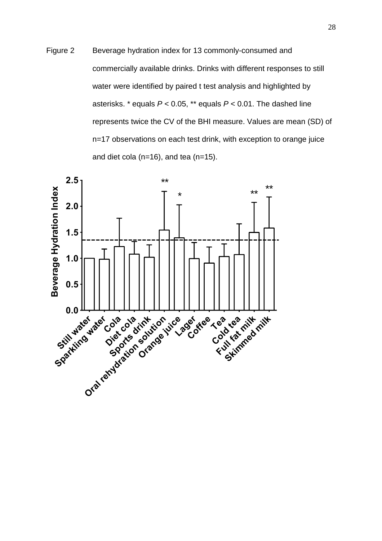Figure 2 Beverage hydration index for 13 commonly-consumed and commercially available drinks. Drinks with different responses to still water were identified by paired t test analysis and highlighted by asterisks. \* equals *P* < 0.05, \*\* equals *P* < 0.01. The dashed line represents twice the CV of the BHI measure. Values are mean (SD) of n=17 observations on each test drink, with exception to orange juice and diet cola (n=16), and tea (n=15).

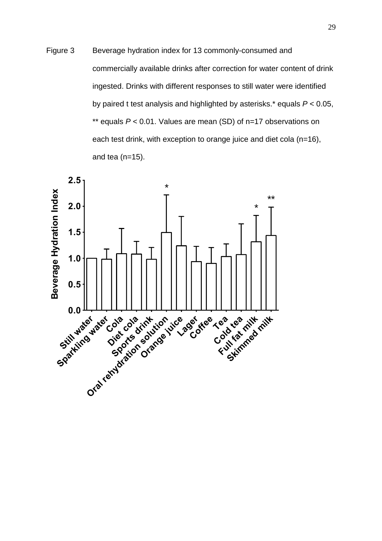Figure 3 Beverage hydration index for 13 commonly-consumed and commercially available drinks after correction for water content of drink ingested. Drinks with different responses to still water were identified by paired t test analysis and highlighted by asterisks.\* equals *P* < 0.05, \*\* equals *P* < 0.01. Values are mean (SD) of n=17 observations on each test drink, with exception to orange juice and diet cola (n=16), and tea  $(n=15)$ .